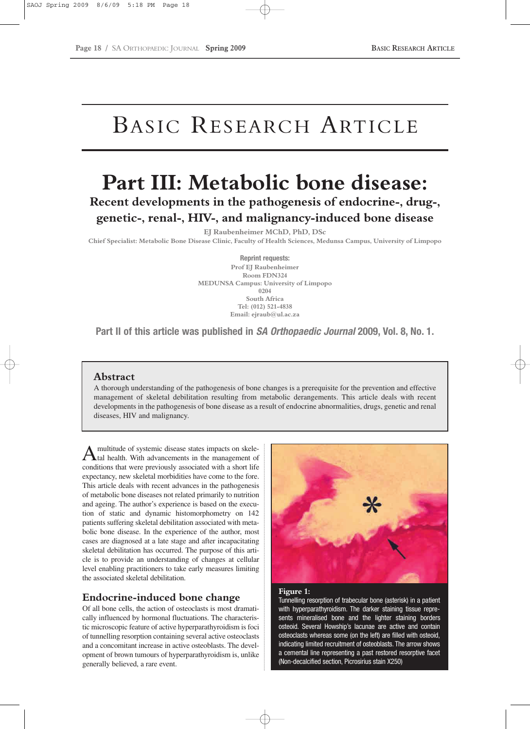# BASIC RESEARCH ARTICLE

## **Part III: Metabolic bone disease: Recent developments in the pathogenesis of endocrine-, drug-, genetic-, renal-, HIV-, and malignancy-induced bone disease**

**EJ Raubenheimer MChD, PhD, DSc**

**Chief Specialist: Metabolic Bone Disease Clinic, Faculty of Health Sciences, Medunsa Campus, University of Limpopo**

**Reprint requests: Prof EJ Raubenheimer Room FDN324 MEDUNSA Campus: University of Limpopo 0204 South Africa Tel: (012) 521-4838 Email: ejraub@ul.ac.za**

**Part II of this article was published in** *SA Orthopaedic Journal* **2009, Vol. 8, No. 1.**

## **Abstract**

A thorough understanding of the pathogenesis of bone changes is a prerequisite for the prevention and effective management of skeletal debilitation resulting from metabolic derangements. This article deals with recent developments in the pathogenesis of bone disease as a result of endocrine abnormalities, drugs, genetic and renal diseases, HIV and malignancy.

A multitude of systemic disease states impacts on skele-<br>tal health. With advancements in the management of conditions that were previously associated with a short life expectancy, new skeletal morbidities have come to the fore. This article deals with recent advances in the pathogenesis of metabolic bone diseases not related primarily to nutrition and ageing. The author's experience is based on the execution of static and dynamic histomorphometry on 142 patients suffering skeletal debilitation associated with metabolic bone disease. In the experience of the author, most cases are diagnosed at a late stage and after incapacitating skeletal debilitation has occurred. The purpose of this article is to provide an understanding of changes at cellular level enabling practitioners to take early measures limiting the associated skeletal debilitation.

## **Endocrine-induced bone change**

Of all bone cells, the action of osteoclasts is most dramatically influenced by hormonal fluctuations. The characteristic microscopic feature of active hyperparathyroidism is foci of tunnelling resorption containing several active osteoclasts and a concomitant increase in active osteoblasts. The development of brown tumours of hyperparathyroidism is, unlike generally believed, a rare event.



#### **Figure 1:**

Tunnelling resorption of trabecular bone (asterisk) in a patient with hyperparathyroidism. The darker staining tissue represents mineralised bone and the lighter staining borders osteoid. Several Howship's lacunae are active and contain osteoclasts whereas some (on the left) are filled with osteoid, indicating limited recruitment of osteoblasts. The arrow shows a cemental line representing a past restored resorptive facet (Non-decalcified section, Picrosirius stain X250)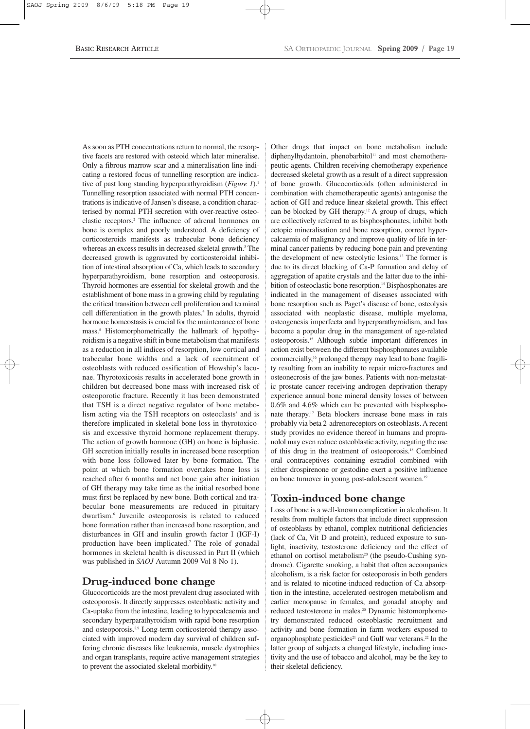As soon as PTH concentrations return to normal, the resorptive facets are restored with osteoid which later mineralise. Only a fibrous marrow scar and a mineralisation line indicating a restored focus of tunnelling resorption are indicative of past long standing hyperparathyroidism (*Figure 1*).<sup>1</sup> Tunnelling resorption associated with normal PTH concentrations is indicative of Jansen's disease, a condition characterised by normal PTH secretion with over-reactive osteoclastic receptors.2 The influence of adrenal hormones on bone is complex and poorly understood. A deficiency of corticosteroids manifests as trabecular bone deficiency whereas an excess results in decreased skeletal growth.<sup>3</sup> The decreased growth is aggravated by corticosteroidal inhibition of intestinal absorption of Ca, which leads to secondary hyperparathyroidism, bone resorption and osteoporosis. Thyroid hormones are essential for skeletal growth and the establishment of bone mass in a growing child by regulating the critical transition between cell proliferation and terminal cell differentiation in the growth plates.<sup>4</sup> In adults, thyroid hormone homeostasis is crucial for the maintenance of bone mass.5 Histomorphometrically the hallmark of hypothyroidism is a negative shift in bone metabolism that manifests as a reduction in all indices of resorption, low cortical and trabecular bone widths and a lack of recruitment of osteoblasts with reduced ossification of Howship's lacunae. Thyrotoxicosis results in accelerated bone growth in children but decreased bone mass with increased risk of osteoporotic fracture. Recently it has been demonstrated that TSH is a direct negative regulator of bone metabolism acting via the TSH receptors on osteoclasts<sup>5</sup> and is therefore implicated in skeletal bone loss in thyrotoxicosis and excessive thyroid hormone replacement therapy. The action of growth hormone (GH) on bone is biphasic. GH secretion initially results in increased bone resorption with bone loss followed later by bone formation. The point at which bone formation overtakes bone loss is reached after 6 months and net bone gain after initiation of GH therapy may take time as the initial resorbed bone must first be replaced by new bone. Both cortical and trabecular bone measurements are reduced in pituitary dwarfism.6 Juvenile osteoporosis is related to reduced bone formation rather than increased bone resorption, and disturbances in GH and insulin growth factor I (IGF-I) production have been implicated.7 The role of gonadal hormones in skeletal health is discussed in Part II (which was published in *SAOJ* Autumn 2009 Vol 8 No 1).

## **Drug-induced bone change**

Glucocorticoids are the most prevalent drug associated with osteoporosis. It directly suppresses osteoblastic activity and Ca-uptake from the intestine, leading to hypocalcaemia and secondary hyperparathyroidism with rapid bone resorption and osteoporosis.<sup>8,9</sup> Long-term corticosteroid therapy associated with improved modern day survival of children suffering chronic diseases like leukaemia, muscle dystrophies and organ transplants, require active management strategies to prevent the associated skeletal morbidity.<sup>10</sup>

Other drugs that impact on bone metabolism include diphenylhydantoin, phenobarbitol<sup>11</sup> and most chemotherapeutic agents. Children receiving chemotherapy experience decreased skeletal growth as a result of a direct suppression of bone growth. Glucocorticoids (often administered in combination with chemotherapeutic agents) antagonise the action of GH and reduce linear skeletal growth. This effect can be blocked by GH therapy.<sup>12</sup> A group of drugs, which are collectively referred to as bisphosphonates, inhibit both ectopic mineralisation and bone resorption, correct hypercalcaemia of malignancy and improve quality of life in terminal cancer patients by reducing bone pain and preventing the development of new osteolytic lesions.13 The former is due to its direct blocking of Ca-P formation and delay of aggregation of apatite crystals and the latter due to the inhibition of osteoclastic bone resorption.<sup>14</sup> Bisphosphonates are indicated in the management of diseases associated with bone resorption such as Paget's disease of bone, osteolysis associated with neoplastic disease, multiple myeloma, osteogenesis imperfecta and hyperparathyroidism, and has become a popular drug in the management of age-related osteoporosis.15 Although subtle important differences in action exist between the different bisphosphonates available commercially,16 prolonged therapy may lead to bone fragility resulting from an inability to repair micro-fractures and osteonecrosis of the jaw bones. Patients with non-metastatic prostate cancer receiving androgen deprivation therapy experience annual bone mineral density losses of between 0.6% and 4.6% which can be prevented with bisphosphonate therapy.17 Beta blockers increase bone mass in rats probably via beta 2-adrenoreceptors on osteoblasts. A recent study provides no evidence thereof in humans and propranolol may even reduce osteoblastic activity, negating the use of this drug in the treatment of osteoporosis.18 Combined oral contraceptives containing estradiol combined with either drospirenone or gestodine exert a positive influence on bone turnover in young post-adolescent women.<sup>19</sup>

## **Toxin-induced bone change**

Loss of bone is a well-known complication in alcoholism. It results from multiple factors that include direct suppression of osteoblasts by ethanol, complex nutritional deficiencies (lack of Ca, Vit D and protein), reduced exposure to sunlight, inactivity, testosterone deficiency and the effect of ethanol on cortisol metabolism<sup>20</sup> (the pseudo-Cushing syndrome). Cigarette smoking, a habit that often accompanies alcoholism, is a risk factor for osteoporosis in both genders and is related to nicotine-induced reduction of Ca absorption in the intestine, accelerated oestrogen metabolism and earlier menopause in females, and gonadal atrophy and reduced testosterone in males.<sup>20</sup> Dynamic histomorphometry demonstrated reduced osteoblastic recruitment and activity and bone formation in farm workers exposed to organophosphate pesticides<sup>21</sup> and Gulf war veterans.<sup>22</sup> In the latter group of subjects a changed lifestyle, including inactivity and the use of tobacco and alcohol, may be the key to their skeletal deficiency.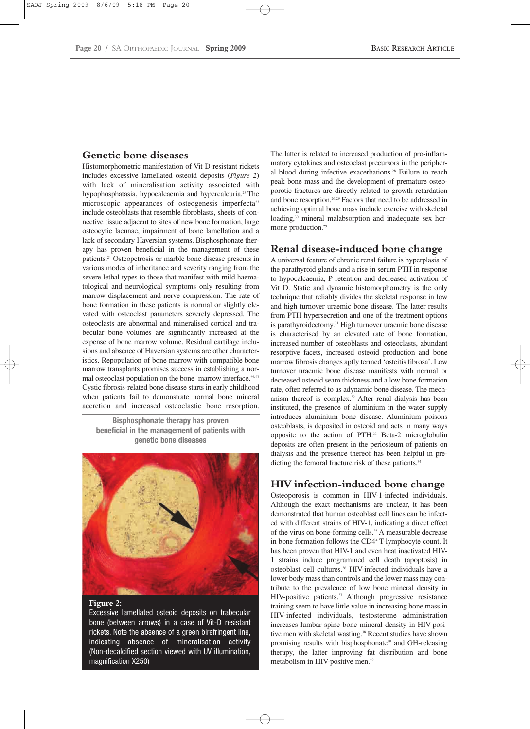## **Genetic bone diseases**

Histomorphometric manifestation of Vit D-resistant rickets includes excessive lamellated osteoid deposits (*Figure 2*) with lack of mineralisation activity associated with hypophosphatasia, hypocalcaemia and hypercalcuria.23 The microscopic appearances of osteogenesis imperfecta<sup>23</sup> include osteoblasts that resemble fibroblasts, sheets of connective tissue adjacent to sites of new bone formation, large osteocytic lacunae, impairment of bone lamellation and a lack of secondary Haversian systems. Bisphosphonate therapy has proven beneficial in the management of these patients.24 Osteopetrosis or marble bone disease presents in various modes of inheritance and severity ranging from the severe lethal types to those that manifest with mild haematological and neurological symptoms only resulting from marrow displacement and nerve compression. The rate of bone formation in these patients is normal or slightly elevated with osteoclast parameters severely depressed. The osteoclasts are abnormal and mineralised cortical and trabecular bone volumes are significantly increased at the expense of bone marrow volume. Residual cartilage inclusions and absence of Haversian systems are other characteristics. Repopulation of bone marrow with compatible bone marrow transplants promises success in establishing a normal osteoclast population on the bone–marrow interface.<sup>25-27</sup> Cystic fibrosis-related bone disease starts in early childhood when patients fail to demonstrate normal bone mineral accretion and increased osteoclastic bone resorption.

**Bisphosphonate therapy has proven beneficial in the management of patients with genetic bone diseases**



#### **Figure 2:**

Excessive lamellated osteoid deposits on trabecular bone (between arrows) in a case of Vit-D resistant rickets. Note the absence of a green birefringent line, indicating absence of mineralisation activity (Non-decalcified section viewed with UV illumination, magnification X250)

The latter is related to increased production of pro-inflammatory cytokines and osteoclast precursors in the peripheral blood during infective exacerbations.<sup>28</sup> Failure to reach peak bone mass and the development of premature osteoporotic fractures are directly related to growth retardation and bone resorption.<sup>26,29</sup> Factors that need to be addressed in achieving optimal bone mass include exercise with skeletal loading,<sup>30</sup> mineral malabsorption and inadequate sex hormone production.<sup>29</sup>

## **Renal disease-induced bone change**

A universal feature of chronic renal failure is hyperplasia of the parathyroid glands and a rise in serum PTH in response to hypocalcaemia, P retention and decreased activation of Vit D. Static and dynamic histomorphometry is the only technique that reliably divides the skeletal response in low and high turnover uraemic bone disease. The latter results from PTH hypersecretion and one of the treatment options is parathyroidectomy.31 High turnover uraemic bone disease is characterised by an elevated rate of bone formation, increased number of osteoblasts and osteoclasts, abundant resorptive facets, increased osteoid production and bone marrow fibrosis changes aptly termed 'osteitis fibrosa'. Low turnover uraemic bone disease manifests with normal or decreased osteoid seam thickness and a low bone formation rate, often referred to as adynamic bone disease. The mechanism thereof is complex.32 After renal dialysis has been instituted, the presence of aluminium in the water supply introduces aluminium bone disease. Aluminium poisons osteoblasts, is deposited in osteoid and acts in many ways opposite to the action of PTH.33 Beta-2 microglobulin deposits are often present in the periosteum of patients on dialysis and the presence thereof has been helpful in predicting the femoral fracture risk of these patients.<sup>34</sup>

## **HIV infection-induced bone change**

Osteoporosis is common in HIV-1-infected individuals. Although the exact mechanisms are unclear, it has been demonstrated that human osteoblast cell lines can be infected with different strains of HIV-1, indicating a direct effect of the virus on bone-forming cells.<sup>35</sup> A measurable decrease in bone formation follows the CD4+ T-lymphocyte count. It has been proven that HIV-1 and even heat inactivated HIV-1 strains induce programmed cell death (apoptosis) in osteoblast cell cultures.<sup>36</sup> HIV-infected individuals have a lower body mass than controls and the lower mass may contribute to the prevalence of low bone mineral density in HIV-positive patients.<sup>37</sup> Although progressive resistance training seem to have little value in increasing bone mass in HIV-infected individuals, testosterone administration increases lumbar spine bone mineral density in HIV-positive men with skeletal wasting.<sup>38</sup> Recent studies have shown promising results with bisphosphonate<sup>39</sup> and GH-releasing therapy, the latter improving fat distribution and bone metabolism in HIV-positive men.40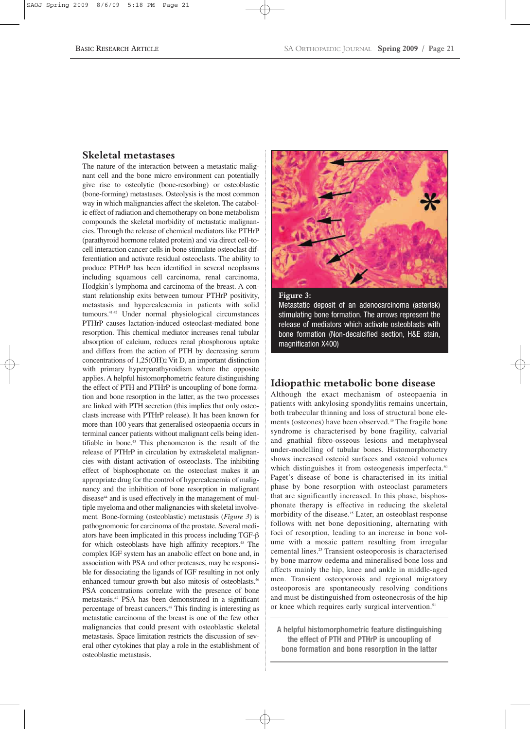## **Skeletal metastases**

The nature of the interaction between a metastatic malignant cell and the bone micro environment can potentially give rise to osteolytic (bone-resorbing) or osteoblastic (bone-forming) metastases. Osteolysis is the most common way in which malignancies affect the skeleton. The catabolic effect of radiation and chemotherapy on bone metabolism compounds the skeletal morbidity of metastatic malignancies. Through the release of chemical mediators like PTHrP (parathyroid hormone related protein) and via direct cell-tocell interaction cancer cells in bone stimulate osteoclast differentiation and activate residual osteoclasts. The ability to produce PTHrP has been identified in several neoplasms including squamous cell carcinoma, renal carcinoma, Hodgkin's lymphoma and carcinoma of the breast. A constant relationship exits between tumour PTHrP positivity, metastasis and hypercalcaemia in patients with solid tumours.41,42 Under normal physiological circumstances PTHrP causes lactation-induced osteoclast-mediated bone resorption. This chemical mediator increases renal tubular absorption of calcium, reduces renal phosphorous uptake and differs from the action of PTH by decreasing serum concentrations of 1,25(OH)2 Vit D, an important distinction with primary hyperparathyroidism where the opposite applies. A helpful histomorphometric feature distinguishing the effect of PTH and PTHrP is uncoupling of bone formation and bone resorption in the latter, as the two processes are linked with PTH secretion (this implies that only osteoclasts increase with PTHrP release). It has been known for more than 100 years that generalised osteopaenia occurs in terminal cancer patients without malignant cells being identifiable in bone.<sup>43</sup> This phenomenon is the result of the release of PTHrP in circulation by extraskeletal malignancies with distant activation of osteoclasts. The inhibiting effect of bisphosphonate on the osteoclast makes it an appropriate drug for the control of hypercalcaemia of malignancy and the inhibition of bone resorption in malignant disease<sup>44</sup> and is used effectively in the management of multiple myeloma and other malignancies with skeletal involvement*.* Bone-forming (osteoblastic) metastasis (*Figure 3*) is pathognomonic for carcinoma of the prostate. Several mediators have been implicated in this process including TGF-β for which osteoblasts have high affinity receptors.<sup>45</sup> The complex IGF system has an anabolic effect on bone and, in association with PSA and other proteases, may be responsible for dissociating the ligands of IGF resulting in not only enhanced tumour growth but also mitosis of osteoblasts.<sup>46</sup> PSA concentrations correlate with the presence of bone metastasis.47 PSA has been demonstrated in a significant percentage of breast cancers.48 This finding is interesting as metastatic carcinoma of the breast is one of the few other malignancies that could present with osteoblastic skeletal metastasis. Space limitation restricts the discussion of several other cytokines that play a role in the establishment of osteoblastic metastasis.





stimulating bone formation. The arrows represent the release of mediators which activate osteoblasts with bone formation (Non-decalcified section, H&E stain, magnification X400)

## **Idiopathic metabolic bone disease**

Although the exact mechanism of osteopaenia in patients with ankylosing spondylitis remains uncertain, both trabecular thinning and loss of structural bone elements (osteones) have been observed.<sup>49</sup> The fragile bone syndrome is characterised by bone fragility, calvarial and gnathial fibro-osseous lesions and metaphyseal under-modelling of tubular bones. Histomorphometry shows increased osteoid surfaces and osteoid volumes which distinguishes it from osteogenesis imperfecta.<sup>50</sup> Paget's disease of bone is characterised in its initial phase by bone resorption with osteoclast parameters that are significantly increased. In this phase, bisphosphonate therapy is effective in reducing the skeletal morbidity of the disease.15 Later, an osteoblast response follows with net bone depositioning, alternating with foci of resorption, leading to an increase in bone volume with a mosaic pattern resulting from irregular cemental lines.23 Transient osteoporosis is characterised by bone marrow oedema and mineralised bone loss and affects mainly the hip, knee and ankle in middle-aged men. Transient osteoporosis and regional migratory osteoporosis are spontaneously resolving conditions and must be distinguished from osteonecrosis of the hip or knee which requires early surgical intervention.<sup>51</sup>

**A helpful histomorphometric feature distinguishing the effect of PTH and PTHrP is uncoupling of bone formation and bone resorption in the latter**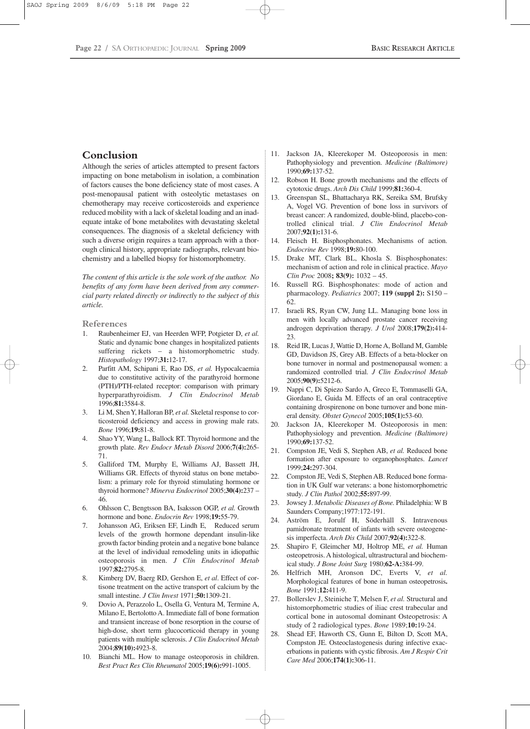## **Conclusion**

Although the series of articles attempted to present factors impacting on bone metabolism in isolation, a combination of factors causes the bone deficiency state of most cases. A post-menopausal patient with osteolytic metastases on chemotherapy may receive corticosteroids and experience reduced mobility with a lack of skeletal loading and an inadequate intake of bone metabolites with devastating skeletal consequences. The diagnosis of a skeletal deficiency with such a diverse origin requires a team approach with a thorough clinical history, appropriate radiographs, relevant biochemistry and a labelled biopsy for histomorphometry.

*The content of this article is the sole work of the author. No benefits of any form have been derived from any commercial party related directly or indirectly to the subject of this article.*

#### **References**

- 1. Raubenheimer EJ, van Heerden WFP, Potgieter D, *et al.* Static and dynamic bone changes in hospitalized patients suffering rickets – a histomorphometric study. *Histopathology* 1997;**31:**12-17.
- 2. Parfitt AM, Schipani E, Rao DS, *et al.* Hypocalcaemia due to constitutive activity of the parathyroid hormone (PTH)/PTH-related receptor: comparison with primary hyperparathyroidism. *J Clin Endocrinol Metab* 1996;**81:**3584-8.
- 3. Li M, Shen Y, Halloran BP, *et al.* Skeletal response to corticosteroid deficiency and access in growing male rats. *Bone* 1996;**19:**81-8.
- 4. Shao YY, Wang L, Ballock RT. Thyroid hormone and the growth plate. *Rev Endocr Metab Disord* 2006;**7(4):**265- 71.
- 5. Galliford TM, Murphy E, Williams AJ, Bassett JH, Williams GR. Effects of thyroid status on bone metabolism: a primary role for thyroid stimulating hormone or thyroid hormone? *Minerva Endocrinol* 2005;**30(4):**237 – 46.
- 6. Ohlsson C, Bengtsson BA, Isaksson OGP, *et al.* Growth hormone and bone. *Endocrin Rev* 1998;**19:**55-79.
- 7. Johansson AG, Eriksen EF, Lindh E, Reduced serum levels of the growth hormone dependant insulin-like growth factor binding protein and a negative bone balance at the level of individual remodeling units in idiopathic osteoporosis in men. *J Clin Endocrinol Metab* 1997;**82:**2795-8.
- 8. Kimberg DV, Baerg RD, Gershon E, *et al*. Effect of cortisone treatment on the active transport of calcium by the small intestine. *J Clin Invest* 1971;**50:**1309-21.
- 9. Dovio A, Perazzolo L, Osella G, Ventura M, Termine A, Milano E, Bertolotto A. Immediate fall of bone formation and transient increase of bone resorption in the course of high-dose, short term glucocorticoid therapy in young patients with multiple sclerosis. *J Clin Endocrinol Metab* 2004;**89(10):**4923-8.
- 10. Bianchi ML. How to manage osteoporosis in children. *Best Pract Res Clin Rheumatol* 2005;**19(6):**991-1005.
- 11. Jackson JA, Kleerekoper M. Osteoporosis in men: Pathophysiology and prevention. *Medicine (Baltimore)* 1990;**69:**137-52.
- 12. Robson H. Bone growth mechanisms and the effects of cytotoxic drugs. *Arch Dis Child* 1999;**81:**360-4.
- 13. Greenspan SL, Bhattacharya RK, Sereika SM, Brufsky A, Vogel VG. Prevention of bone loss in survivors of breast cancer: A randomized, double-blind, placebo-controlled clinical trial. *J Clin Endocrinol Metab* 2007;**92(1):**131-6.
- 14. Fleisch H. Bisphosphonates. Mechanisms of action. *Endocrine Rev* 1998;**19:**80-100.
- 15. Drake MT, Clark BL, Khosla S. Bisphosphonates: mechanism of action and role in clinical practice. *Mayo Clin Proc* 2008**; 83(9):** 1032 – 45.
- 16. Russell RG. Bisphosphonates: mode of action and pharmacology. *Pediatrics* 2007; **119 (suppl 2):** S150 – 62.
- 17. Israeli RS, Ryan CW, Jung LL. Managing bone loss in men with locally advanced prostate cancer receiving androgen deprivation therapy*. J Urol* 2008;**179(2):**414- 23.
- 18. Reid IR, Lucas J, Wattie D, Horne A, Bolland M, Gamble GD, Davidson JS, Grey AB. Effects of a beta-blocker on bone turnover in normal and postmenopausal women: a randomized controlled trial. *J Clin Endocrinol Metab* 2005;**90(9):**5212-6.
- 19. Nappi C, Di Spiezo Sardo A, Greco E, Tommaselli GA, Giordano E, Guida M. Effects of an oral contraceptive containing drospirenone on bone turnover and bone mineral density. *Obstet Gynecol* 2005;**105(1):**53-60.
- 20. Jackson JA, Kleerekoper M. Osteoporosis in men: Pathophysiology and prevention. *Medicine (Baltimore)* 1990;**69:**137-52.
- 21. Compston JE, Vedi S, Stephen AB, *et al.* Reduced bone formation after exposure to organophosphates. *Lancet* 1999;**24:**297-304.
- 22. Compston JE, Vedi S, Stephen AB. Reduced bone formation in UK Gulf war veterans: a bone histomorphometric study. *J Clin Pathol* 2002;**55:**897-99.
- 23. Jowsey J. *Metabolic Diseases of Bone.* Philadelphia: W B Saunders Company;1977:172-191.
- 24. Aström E, Jorulf H, Söderhäll S. Intravenous pamidronate treatment of infants with severe osteogenesis imperfecta. *Arch Dis Child* 2007;**92(4):**322-8.
- 25. Shapiro F, Gleimcher MJ, Holtrop ME, *et al.* Human osteopetrosis. A histological, ultrastructural and biochemical study. *J Bone Joint Surg* 1980;**62-A:**384-99.
- 26. Helfrich MH, Aronson DC, Everts V, *et al.* Morphological features of bone in human osteopetrosis**.** *Bone* 1991;**12:**411-9.
- 27. Bollerslev J, Steiniche T, Melsen F, *et al.* Structural and histomorphometric studies of iliac crest trabecular and cortical bone in autosomal dominant Osteopetrosis: A study of 2 radiological types. *Bone* 1989;**10:**19-24.
- 28. Shead EF, Haworth CS, Gunn E, Bilton D, Scott MA, Compston JE. Osteoclastogenesis during infective exacerbations in patients with cystic fibrosis. *Am J Respir Crit Care Med* 2006;**174(1):**306-11.